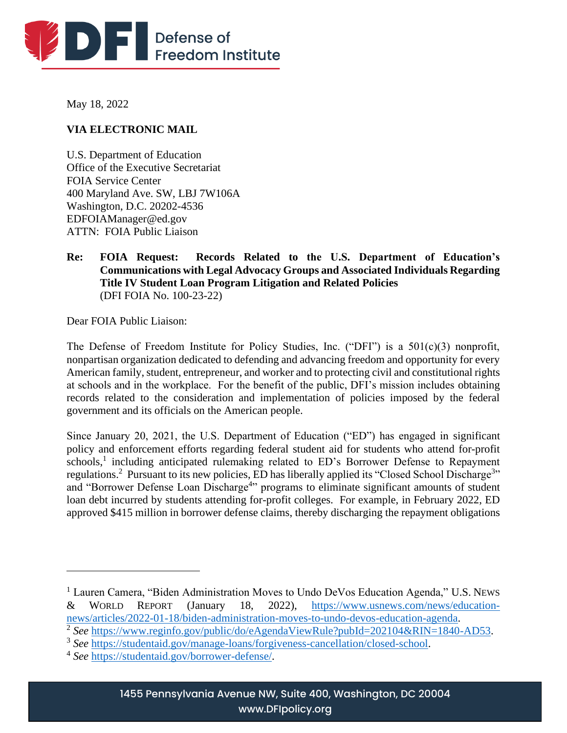

May 18, 2022

# **VIA ELECTRONIC MAIL**

U.S. Department of Education Office of the Executive Secretariat FOIA Service Center 400 Maryland Ave. SW, LBJ 7W106A Washington, D.C. 20202-4536 EDFOIAManager@ed.gov ATTN: FOIA Public Liaison

**Re: FOIA Request: Records Related to the U.S. Department of Education's Communications with Legal Advocacy Groups and Associated Individuals Regarding Title IV Student Loan Program Litigation and Related Policies** (DFI FOIA No. 100-23-22)

Dear FOIA Public Liaison:

The Defense of Freedom Institute for Policy Studies, Inc. ("DFI") is a 501(c)(3) nonprofit, nonpartisan organization dedicated to defending and advancing freedom and opportunity for every American family, student, entrepreneur, and worker and to protecting civil and constitutional rights at schools and in the workplace. For the benefit of the public, DFI's mission includes obtaining records related to the consideration and implementation of policies imposed by the federal government and its officials on the American people.

Since January 20, 2021, the U.S. Department of Education ("ED") has engaged in significant policy and enforcement efforts regarding federal student aid for students who attend for-profit schools,<sup>1</sup> including anticipated rulemaking related to ED's Borrower Defense to Repayment regulations.<sup>2</sup> Pursuant to its new policies, ED has liberally applied its "Closed School Discharge<sup>3</sup>" and "Borrower Defense Loan Discharge<sup>4</sup>" programs to eliminate significant amounts of student loan debt incurred by students attending for-profit colleges. For example, in February 2022, ED approved \$415 million in borrower defense claims, thereby discharging the repayment obligations

<sup>&</sup>lt;sup>1</sup> Lauren Camera, "Biden Administration Moves to Undo DeVos Education Agenda," U.S. NEWS & WORLD REPORT (January 18, 2022), [https://www.usnews.com/news/education](https://www.usnews.com/news/education-news/articles/2022-01-18/biden-administration-moves-to-undo-devos-education-agenda)[news/articles/2022-01-18/biden-administration-moves-to-undo-devos-education-agenda.](https://www.usnews.com/news/education-news/articles/2022-01-18/biden-administration-moves-to-undo-devos-education-agenda)

<sup>&</sup>lt;sup>2</sup> See [https://www.reginfo.gov/public/do/eAgendaViewRule?pubId=202104&RIN=1840-AD53.](https://www.reginfo.gov/public/do/eAgendaViewRule?pubId=202104&RIN=1840-AD53)

<sup>&</sup>lt;sup>3</sup> See [https://studentaid.gov/manage-loans/forgiveness-cancellation/closed-school.](https://studentaid.gov/manage-loans/forgiveness-cancellation/closed-school)

<sup>4</sup> *See* [https://studentaid.gov/borrower-defense/.](https://studentaid.gov/borrower-defense/)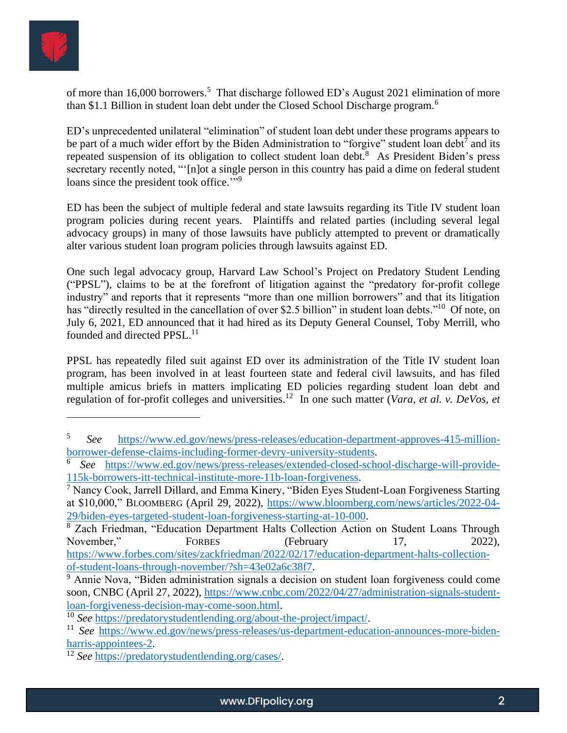

of more than 16,000 borrowers.<sup>5</sup> That discharge followed ED's August 2021 elimination of more than \$1.1 Billion in student loan debt under the Closed School Discharge program.<sup>6</sup>

ED's unprecedented unilateral "elimination" of student loan debt under these programs appears to be part of a much wider effort by the Biden Administration to "forgive" student loan debt<sup>7</sup> and its repeated suspension of its obligation to collect student loan debt.<sup>8</sup> As President Biden's press secretary recently noted, "'[n]ot a single person in this country has paid a dime on federal student loans since the president took office."<sup>9</sup>

ED has been the subject of multiple federal and state lawsuits regarding its Title IV student loan program policies during recent years. Plaintiffs and related parties (including several legal advocacy groups) in many of those lawsuits have publicly attempted to prevent or dramatically alter various student loan program policies through lawsuits against ED.

One such legal advocacy group, Harvard Law School's Project on Predatory Student Lending ("PPSL"), claims to be at the forefront of litigation against the "predatory for-profit college industry" and reports that it represents "more than one million borrowers" and that its litigation has "directly resulted in the cancellation of over \$2.5 billion" in student loan debts."<sup>10</sup> Of note, on July 6, 2021, ED announced that it had hired as its Deputy General Counsel, Toby Merrill, who founded and directed PPSL.<sup>11</sup>

PPSL has repeatedly filed suit against ED over its administration of the Title IV student loan program, has been involved in at least fourteen state and federal civil lawsuits, and has filed multiple amicus briefs in matters implicating ED policies regarding student loan debt and regulation of for-profit colleges and universities. 12 In one such matter (*Vara, et al. v. DeVos, et* 

<sup>5</sup> *See* [https://www.ed.gov/news/press-releases/education-department-approves-415-million](https://www.ed.gov/news/press-releases/education-department-approves-415-million-borrower-defense-claims-including-former-devry-university-students)[borrower-defense-claims-including-former-devry-university-students.](https://www.ed.gov/news/press-releases/education-department-approves-415-million-borrower-defense-claims-including-former-devry-university-students)

<sup>6</sup> *See* [https://www.ed.gov/news/press-releases/extended-closed-school-discharge-will-provide-](https://www.ed.gov/news/press-releases/extended-closed-school-discharge-will-provide-115k-borrowers-itt-technical-institute-more-11b-loan-forgiveness)[115k-borrowers-itt-technical-institute-more-11b-loan-forgiveness.](https://www.ed.gov/news/press-releases/extended-closed-school-discharge-will-provide-115k-borrowers-itt-technical-institute-more-11b-loan-forgiveness)

 $\sqrt{7}$  Nancy Cook, Jarrell Dillard, and Emma Kinery, "Biden Eyes Student-Loan Forgiveness Starting at \$10,000," BLOOMBERG (April 29, 2022), [https://www.bloomberg.com/news/articles/2022-04-](https://www.bloomberg.com/news/articles/2022-04-29/biden-eyes-targeted-student-loan-forgiveness-starting-at-10-000) [29/biden-eyes-targeted-student-loan-forgiveness-starting-at-10-000.](https://www.bloomberg.com/news/articles/2022-04-29/biden-eyes-targeted-student-loan-forgiveness-starting-at-10-000)

<sup>&</sup>lt;sup>8</sup> Zach Friedman, "Education Department Halts Collection Action on Student Loans Through November," FORBES (February 17, 2022), [https://www.forbes.com/sites/zackfriedman/2022/02/17/education-department-halts-collection](https://www.forbes.com/sites/zackfriedman/2022/02/17/education-department-halts-collection-of-student-loans-through-november/?sh=43e02a6c38f7)[of-student-loans-through-november/?sh=43e02a6c38f7.](https://www.forbes.com/sites/zackfriedman/2022/02/17/education-department-halts-collection-of-student-loans-through-november/?sh=43e02a6c38f7)

 $\overline{9}$  Annie Nova, "Biden administration signals a decision on student loan forgiveness could come soon, CNBC (April 27, 2022), [https://www.cnbc.com/2022/04/27/administration-signals-student](https://www.cnbc.com/2022/04/27/administration-signals-student-loan-forgiveness-decision-may-come-soon.html)[loan-forgiveness-decision-may-come-soon.html.](https://www.cnbc.com/2022/04/27/administration-signals-student-loan-forgiveness-decision-may-come-soon.html)

<sup>10</sup> *See* [https://predatorystudentlending.org/about-the-project/impact/.](https://predatorystudentlending.org/about-the-project/impact/)

<sup>&</sup>lt;sup>11</sup> *See* [https://www.ed.gov/news/press-releases/us-department-education-announces-more-biden](https://www.ed.gov/news/press-releases/us-department-education-announces-more-biden-harris-appointees-2)[harris-appointees-2.](https://www.ed.gov/news/press-releases/us-department-education-announces-more-biden-harris-appointees-2)

<sup>12</sup> *See* [https://predatorystudentlending.org/cases/.](https://predatorystudentlending.org/cases/)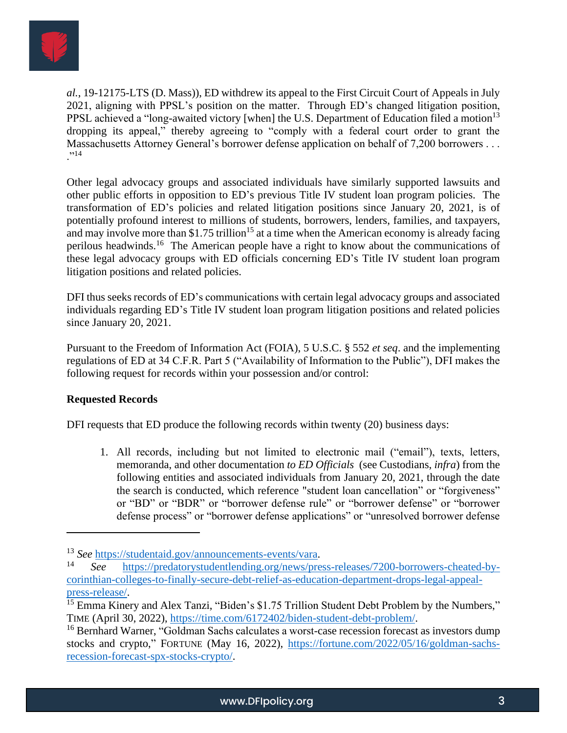

*al.*, 19-12175-LTS (D. Mass)), ED withdrew its appeal to the First Circuit Court of Appeals in July 2021, aligning with PPSL's position on the matter. Through ED's changed litigation position, PPSL achieved a "long-awaited victory [when] the U.S. Department of Education filed a motion<sup>13</sup> dropping its appeal," thereby agreeing to "comply with a federal court order to grant the Massachusetts Attorney General's borrower defense application on behalf of 7,200 borrowers . . .  $, 14$ 

Other legal advocacy groups and associated individuals have similarly supported lawsuits and other public efforts in opposition to ED's previous Title IV student loan program policies. The transformation of ED's policies and related litigation positions since January 20, 2021, is of potentially profound interest to millions of students, borrowers, lenders, families, and taxpayers, and may involve more than \$1.75 trillion<sup>15</sup> at a time when the American economy is already facing perilous headwinds.<sup>16</sup> The American people have a right to know about the communications of these legal advocacy groups with ED officials concerning ED's Title IV student loan program litigation positions and related policies.

DFI thus seeks records of ED's communications with certain legal advocacy groups and associated individuals regarding ED's Title IV student loan program litigation positions and related policies since January 20, 2021.

Pursuant to the Freedom of Information Act (FOIA), 5 U.S.C. § 552 *et seq*. and the implementing regulations of ED at 34 C.F.R. Part 5 ("Availability of Information to the Public"), DFI makes the following request for records within your possession and/or control:

# **Requested Records**

DFI requests that ED produce the following records within twenty (20) business days:

1. All records, including but not limited to electronic mail ("email"), texts, letters, memoranda, and other documentation *to ED Officials* (see Custodians, *infra*) from the following entities and associated individuals from January 20, 2021, through the date the search is conducted, which reference "student loan cancellation" or "forgiveness" or "BD" or "BDR" or "borrower defense rule" or "borrower defense" or "borrower defense process" or "borrower defense applications" or "unresolved borrower defense

<sup>13</sup> *See* [https://studentaid.gov/announcements-events/vara.](https://studentaid.gov/announcements-events/vara)

<sup>14</sup> *See* [https://predatorystudentlending.org/news/press-releases/7200-borrowers-cheated-by](https://predatorystudentlending.org/news/press-releases/7200-borrowers-cheated-by-corinthian-colleges-to-finally-secure-debt-relief-as-education-department-drops-legal-appeal-press-release/)[corinthian-colleges-to-finally-secure-debt-relief-as-education-department-drops-legal-appeal](https://predatorystudentlending.org/news/press-releases/7200-borrowers-cheated-by-corinthian-colleges-to-finally-secure-debt-relief-as-education-department-drops-legal-appeal-press-release/)[press-release/.](https://predatorystudentlending.org/news/press-releases/7200-borrowers-cheated-by-corinthian-colleges-to-finally-secure-debt-relief-as-education-department-drops-legal-appeal-press-release/)

<sup>&</sup>lt;sup>15</sup> Emma Kinery and Alex Tanzi, "Biden's \$1.75 Trillion Student Debt Problem by the Numbers," TIME (April 30, 2022), [https://time.com/6172402/biden-student-debt-problem/.](https://time.com/6172402/biden-student-debt-problem/)

<sup>&</sup>lt;sup>16</sup> Bernhard Warner, "Goldman Sachs calculates a worst-case recession forecast as investors dump stocks and crypto," FORTUNE (May 16, 2022), [https://fortune.com/2022/05/16/goldman-sachs](https://fortune.com/2022/05/16/goldman-sachs-recession-forecast-spx-stocks-crypto/)[recession-forecast-spx-stocks-crypto/.](https://fortune.com/2022/05/16/goldman-sachs-recession-forecast-spx-stocks-crypto/)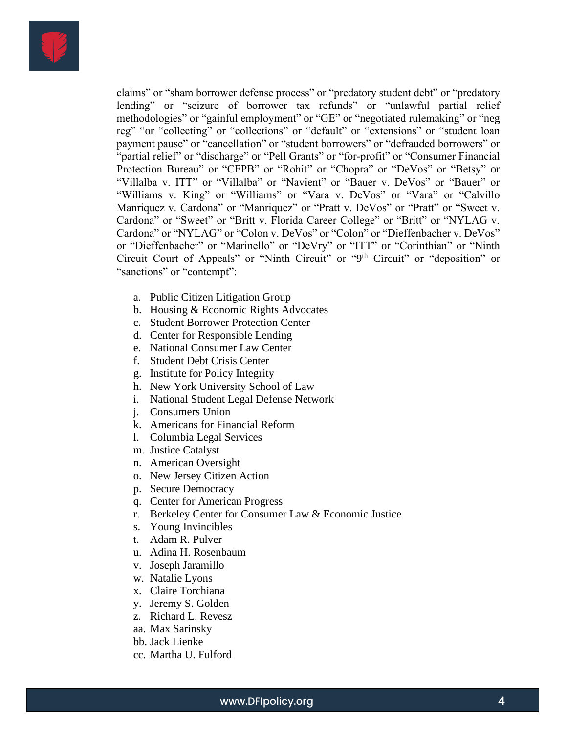

claims" or "sham borrower defense process" or "predatory student debt" or "predatory lending" or "seizure of borrower tax refunds" or "unlawful partial relief methodologies" or "gainful employment" or "GE" or "negotiated rulemaking" or "neg reg" "or "collecting" or "collections" or "default" or "extensions" or "student loan payment pause" or "cancellation" or "student borrowers" or "defrauded borrowers" or "partial relief" or "discharge" or "Pell Grants" or "for-profit" or "Consumer Financial Protection Bureau" or "CFPB" or "Rohit" or "Chopra" or "DeVos" or "Betsy" or "Villalba v. ITT" or "Villalba" or "Navient" or "Bauer v. DeVos" or "Bauer" or "Williams v. King" or "Williams" or "Vara v. DeVos" or "Vara" or "Calvillo Manriquez v. Cardona" or "Manriquez" or "Pratt v. DeVos" or "Pratt" or "Sweet v. Cardona" or "Sweet" or "Britt v. Florida Career College" or "Britt" or "NYLAG v. Cardona" or "NYLAG" or "Colon v. DeVos" or "Colon" or "Dieffenbacher v. DeVos" or "Dieffenbacher" or "Marinello" or "DeVry" or "ITT" or "Corinthian" or "Ninth Circuit Court of Appeals" or "Ninth Circuit" or "9<sup>th</sup> Circuit" or "deposition" or "sanctions" or "contempt":

- a. Public Citizen Litigation Group
- b. Housing & Economic Rights Advocates
- c. Student Borrower Protection Center
- d. Center for Responsible Lending
- e. National Consumer Law Center
- f. Student Debt Crisis Center
- g. Institute for Policy Integrity
- h. New York University School of Law
- i. National Student Legal Defense Network
- j. Consumers Union
- k. Americans for Financial Reform
- l. Columbia Legal Services
- m. Justice Catalyst
- n. American Oversight
- o. New Jersey Citizen Action
- p. Secure Democracy
- q. Center for American Progress
- r. Berkeley Center for Consumer Law & Economic Justice
- s. Young Invincibles
- t. Adam R. Pulver
- u. Adina H. Rosenbaum
- v. Joseph Jaramillo
- w. Natalie Lyons
- x. Claire Torchiana
- y. Jeremy S. Golden
- z. Richard L. Revesz
- aa. Max Sarinsky
- bb. Jack Lienke
- cc. Martha U. Fulford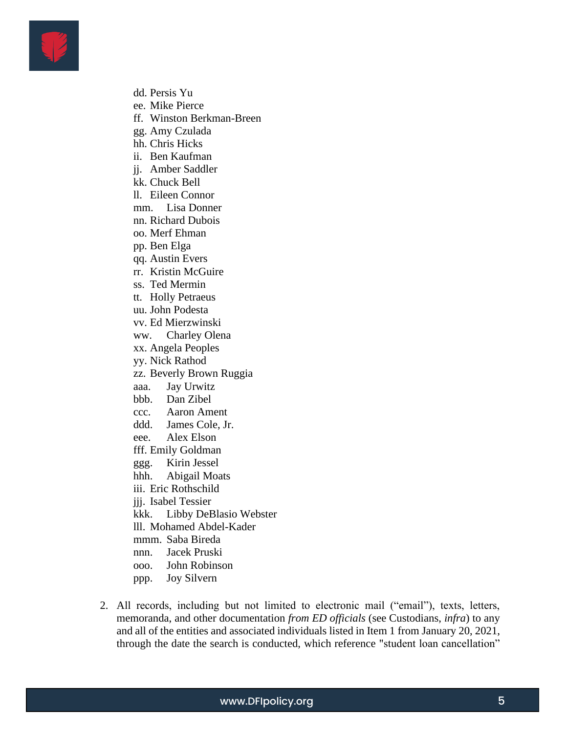

- dd. Persis Yu
- ee. Mike Pierce
- ff. Winston Berkman-Breen
- gg. Amy Czulada
- hh. Chris Hicks
- ii. Ben Kaufman
- jj. Amber Saddler
- kk. Chuck Bell
- ll. Eileen Connor
- mm. Lisa Donner
- nn. Richard Dubois
- oo. Merf Ehman
- pp. Ben Elga
- qq. Austin Evers
- rr. Kristin McGuire
- ss. Ted Mermin
- tt. Holly Petraeus
- uu. John Podesta
- vv. Ed Mierzwinski
- ww. Charley Olena
- xx. Angela Peoples
- yy. Nick Rathod
- zz. Beverly Brown Ruggia
- aaa. Jay Urwitz
- bbb. Dan Zibel
- ccc. Aaron Ament
- ddd. James Cole, Jr.
- eee. Alex Elson
- fff. Emily Goldman
- ggg. Kirin Jessel
- hhh. Abigail Moats
- iii. Eric Rothschild
- jjj. Isabel Tessier
- kkk. Libby DeBlasio Webster
- lll. Mohamed Abdel-Kader
- mmm. Saba Bireda
- nnn. Jacek Pruski
- ooo. John Robinson
- ppp. Joy Silvern
- 2. All records, including but not limited to electronic mail ("email"), texts, letters, memoranda, and other documentation *from ED officials* (see Custodians, *infra*) to any and all of the entities and associated individuals listed in Item 1 from January 20, 2021, through the date the search is conducted, which reference "student loan cancellation"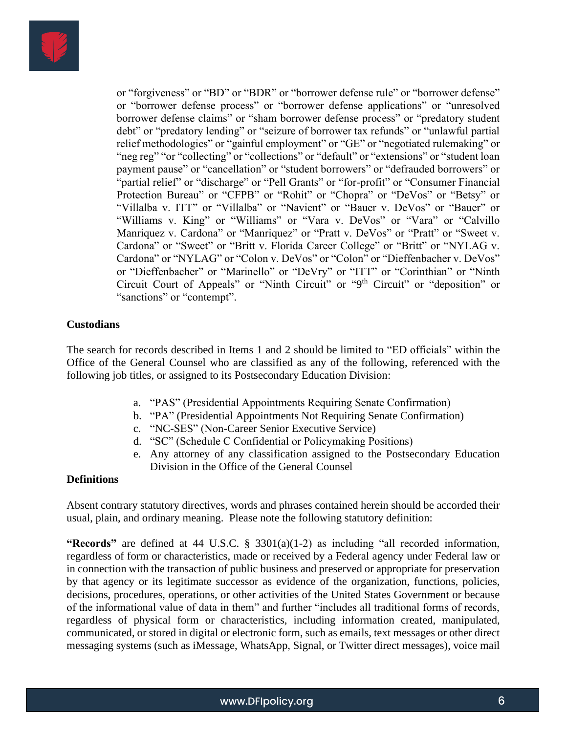

or "forgiveness" or "BD" or "BDR" or "borrower defense rule" or "borrower defense" or "borrower defense process" or "borrower defense applications" or "unresolved borrower defense claims" or "sham borrower defense process" or "predatory student debt" or "predatory lending" or "seizure of borrower tax refunds" or "unlawful partial relief methodologies" or "gainful employment" or "GE" or "negotiated rulemaking" or "neg reg" "or "collecting" or "collections" or "default" or "extensions" or "student loan payment pause" or "cancellation" or "student borrowers" or "defrauded borrowers" or "partial relief" or "discharge" or "Pell Grants" or "for-profit" or "Consumer Financial Protection Bureau" or "CFPB" or "Rohit" or "Chopra" or "DeVos" or "Betsy" or "Villalba v. ITT" or "Villalba" or "Navient" or "Bauer v. DeVos" or "Bauer" or "Williams v. King" or "Williams" or "Vara v. DeVos" or "Vara" or "Calvillo Manriquez v. Cardona" or "Manriquez" or "Pratt v. DeVos" or "Pratt" or "Sweet v. Cardona" or "Sweet" or "Britt v. Florida Career College" or "Britt" or "NYLAG v. Cardona" or "NYLAG" or "Colon v. DeVos" or "Colon" or "Dieffenbacher v. DeVos" or "Dieffenbacher" or "Marinello" or "DeVry" or "ITT" or "Corinthian" or "Ninth Circuit Court of Appeals" or "Ninth Circuit" or "9<sup>th</sup> Circuit" or "deposition" or "sanctions" or "contempt".

#### **Custodians**

The search for records described in Items 1 and 2 should be limited to "ED officials" within the Office of the General Counsel who are classified as any of the following, referenced with the following job titles, or assigned to its Postsecondary Education Division:

- a. "PAS" (Presidential Appointments Requiring Senate Confirmation)
- b. "PA" (Presidential Appointments Not Requiring Senate Confirmation)
- c. "NC-SES" (Non-Career Senior Executive Service)
- d. "SC" (Schedule C Confidential or Policymaking Positions)
- e. Any attorney of any classification assigned to the Postsecondary Education Division in the Office of the General Counsel

#### **Definitions**

Absent contrary statutory directives, words and phrases contained herein should be accorded their usual, plain, and ordinary meaning. Please note the following statutory definition:

**"Records"** are defined at 44 U.S.C. § 3301(a)(1-2) as including "all recorded information, regardless of form or characteristics, made or received by a Federal agency under Federal law or in connection with the transaction of public business and preserved or appropriate for preservation by that agency or its legitimate successor as evidence of the organization, functions, policies, decisions, procedures, operations, or other activities of the United States Government or because of the informational value of data in them" and further "includes all traditional forms of records, regardless of physical form or characteristics, including information created, manipulated, communicated, or stored in digital or electronic form, such as emails, text messages or other direct messaging systems (such as iMessage, WhatsApp, Signal, or Twitter direct messages), voice mail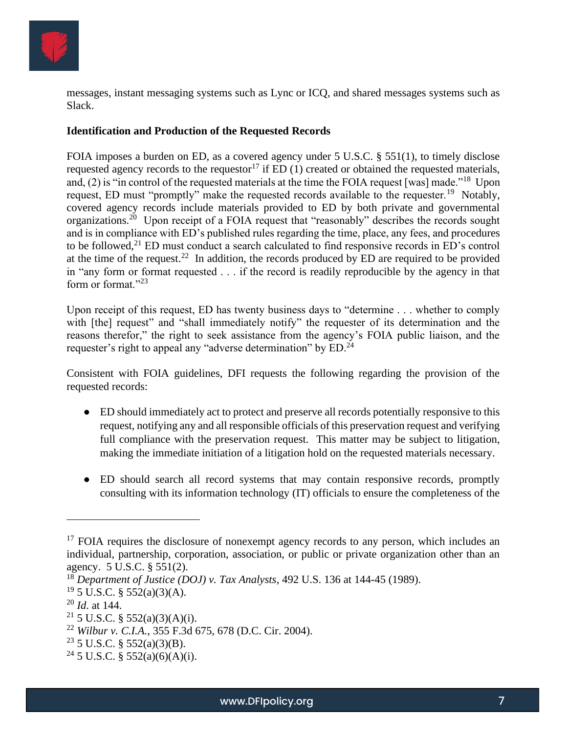

messages, instant messaging systems such as Lync or ICQ, and shared messages systems such as Slack.

### **Identification and Production of the Requested Records**

FOIA imposes a burden on ED, as a covered agency under 5 U.S.C. § 551(1), to timely disclose requested agency records to the requestor<sup>17</sup> if ED  $(1)$  created or obtained the requested materials, and, (2) is "in control of the requested materials at the time the FOIA request [was] made."<sup>18</sup> Upon request, ED must "promptly" make the requested records available to the requester.<sup>19</sup> Notably, covered agency records include materials provided to ED by both private and governmental organizations.<sup>20</sup> Upon receipt of a FOIA request that "reasonably" describes the records sought and is in compliance with ED's published rules regarding the time, place, any fees, and procedures to be followed,  $2^{1}$  ED must conduct a search calculated to find responsive records in ED's control at the time of the request.<sup>22</sup> In addition, the records produced by ED are required to be provided in "any form or format requested . . . if the record is readily reproducible by the agency in that form or format."<sup>23</sup>

Upon receipt of this request, ED has twenty business days to "determine . . . whether to comply with [the] request" and "shall immediately notify" the requester of its determination and the reasons therefor," the right to seek assistance from the agency's FOIA public liaison, and the requester's right to appeal any "adverse determination" by ED.<sup>24</sup>

Consistent with FOIA guidelines, DFI requests the following regarding the provision of the requested records:

- ED should immediately act to protect and preserve all records potentially responsive to this request, notifying any and all responsible officials of this preservation request and verifying full compliance with the preservation request. This matter may be subject to litigation, making the immediate initiation of a litigation hold on the requested materials necessary.
- ED should search all record systems that may contain responsive records, promptly consulting with its information technology (IT) officials to ensure the completeness of the

 $17$  FOIA requires the disclosure of nonexempt agency records to any person, which includes an individual, partnership, corporation, association, or public or private organization other than an agency. 5 U.S.C. § 551(2).

<sup>18</sup> *Department of Justice (DOJ) v. Tax Analysts*, 492 U.S. 136 at 144-45 (1989).

 $19\,$  5 U.S.C. § 552(a)(3)(A).

<sup>20</sup> *Id*. at 144.

<sup>&</sup>lt;sup>21</sup> 5 U.S.C. § 552(a)(3)(A)(i).

<sup>22</sup> *Wilbur v. C.I.A.*, 355 F.3d 675, 678 (D.C. Cir. 2004).

 $23$  5 U.S.C. § 552(a)(3)(B).

<sup>&</sup>lt;sup>24</sup> 5 U.S.C. § 552(a)(6)(A)(i).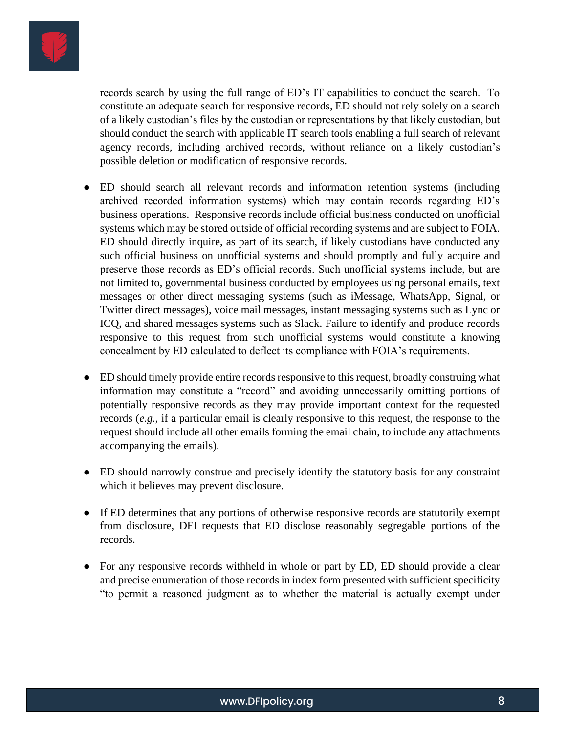

records search by using the full range of ED's IT capabilities to conduct the search. To constitute an adequate search for responsive records, ED should not rely solely on a search of a likely custodian's files by the custodian or representations by that likely custodian, but should conduct the search with applicable IT search tools enabling a full search of relevant agency records, including archived records, without reliance on a likely custodian's possible deletion or modification of responsive records.

- ED should search all relevant records and information retention systems (including archived recorded information systems) which may contain records regarding ED's business operations. Responsive records include official business conducted on unofficial systems which may be stored outside of official recording systems and are subject to FOIA. ED should directly inquire, as part of its search, if likely custodians have conducted any such official business on unofficial systems and should promptly and fully acquire and preserve those records as ED's official records. Such unofficial systems include, but are not limited to, governmental business conducted by employees using personal emails, text messages or other direct messaging systems (such as iMessage, WhatsApp, Signal, or Twitter direct messages), voice mail messages, instant messaging systems such as Lync or ICQ, and shared messages systems such as Slack. Failure to identify and produce records responsive to this request from such unofficial systems would constitute a knowing concealment by ED calculated to deflect its compliance with FOIA's requirements.
- ED should timely provide entire records responsive to this request, broadly construing what information may constitute a "record" and avoiding unnecessarily omitting portions of potentially responsive records as they may provide important context for the requested records (*e.g.,* if a particular email is clearly responsive to this request, the response to the request should include all other emails forming the email chain, to include any attachments accompanying the emails).
- ED should narrowly construe and precisely identify the statutory basis for any constraint which it believes may prevent disclosure.
- If ED determines that any portions of otherwise responsive records are statutorily exempt from disclosure, DFI requests that ED disclose reasonably segregable portions of the records.
- For any responsive records withheld in whole or part by ED, ED should provide a clear and precise enumeration of those records in index form presented with sufficient specificity "to permit a reasoned judgment as to whether the material is actually exempt under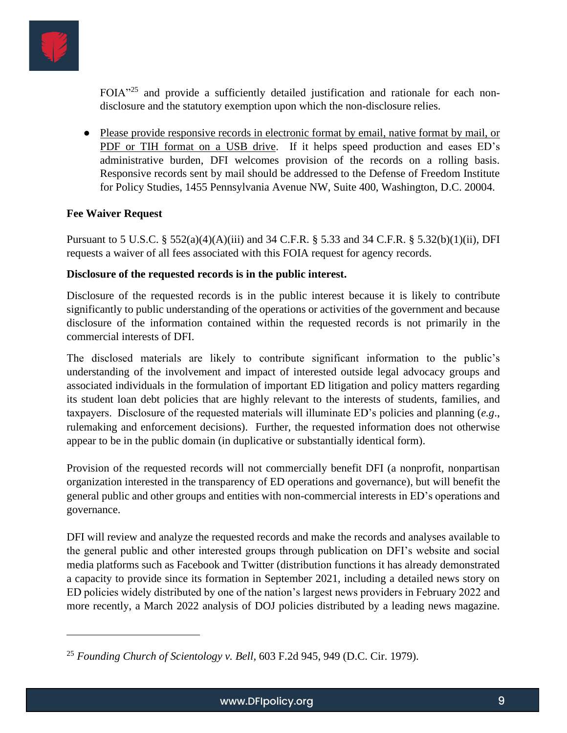

FOIA<sup>"25</sup> and provide a sufficiently detailed justification and rationale for each nondisclosure and the statutory exemption upon which the non-disclosure relies.

● Please provide responsive records in electronic format by email, native format by mail, or PDF or TIH format on a USB drive. If it helps speed production and eases ED's administrative burden, DFI welcomes provision of the records on a rolling basis. Responsive records sent by mail should be addressed to the Defense of Freedom Institute for Policy Studies, 1455 Pennsylvania Avenue NW, Suite 400, Washington, D.C. 20004.

# **Fee Waiver Request**

Pursuant to 5 U.S.C. § 552(a)(4)(A)(iii) and 34 C.F.R. § 5.33 and 34 C.F.R. § 5.32(b)(1)(ii), DFI requests a waiver of all fees associated with this FOIA request for agency records.

# **Disclosure of the requested records is in the public interest.**

Disclosure of the requested records is in the public interest because it is likely to contribute significantly to public understanding of the operations or activities of the government and because disclosure of the information contained within the requested records is not primarily in the commercial interests of DFI.

The disclosed materials are likely to contribute significant information to the public's understanding of the involvement and impact of interested outside legal advocacy groups and associated individuals in the formulation of important ED litigation and policy matters regarding its student loan debt policies that are highly relevant to the interests of students, families, and taxpayers. Disclosure of the requested materials will illuminate ED's policies and planning (*e.g*., rulemaking and enforcement decisions). Further, the requested information does not otherwise appear to be in the public domain (in duplicative or substantially identical form).

Provision of the requested records will not commercially benefit DFI (a nonprofit, nonpartisan organization interested in the transparency of ED operations and governance), but will benefit the general public and other groups and entities with non-commercial interests in ED's operations and governance.

DFI will review and analyze the requested records and make the records and analyses available to the general public and other interested groups through publication on DFI's website and social media platforms such as Facebook and Twitter (distribution functions it has already demonstrated a capacity to provide since its formation in September 2021, including a detailed news story on ED policies widely distributed by one of the nation's largest news providers in February 2022 and more recently, a March 2022 analysis of DOJ policies distributed by a leading news magazine.

<sup>25</sup> *Founding Church of Scientology v. Bell*, 603 F.2d 945, 949 (D.C. Cir. 1979).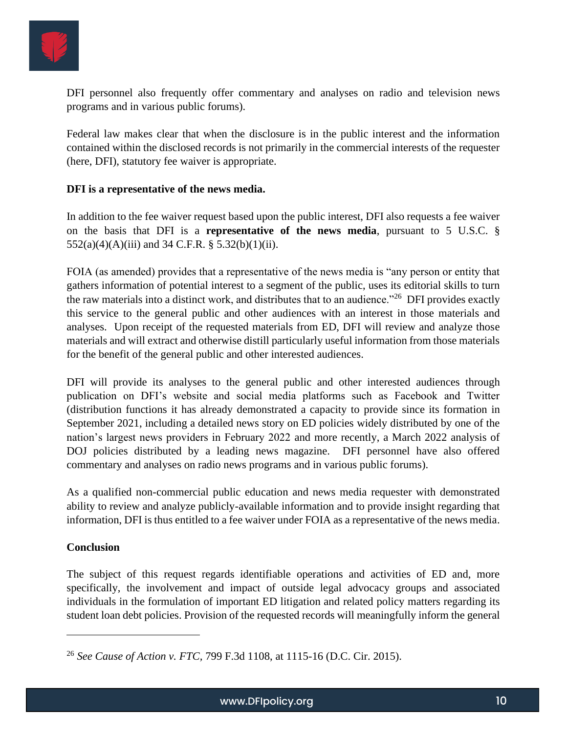

DFI personnel also frequently offer commentary and analyses on radio and television news programs and in various public forums).

Federal law makes clear that when the disclosure is in the public interest and the information contained within the disclosed records is not primarily in the commercial interests of the requester (here, DFI), statutory fee waiver is appropriate.

### **DFI is a representative of the news media.**

In addition to the fee waiver request based upon the public interest, DFI also requests a fee waiver on the basis that DFI is a **representative of the news media**, pursuant to 5 U.S.C. §  $552(a)(4)(A)(iii)$  and 34 C.F.R. § 5.32(b)(1)(ii).

FOIA (as amended) provides that a representative of the news media is "any person or entity that gathers information of potential interest to a segment of the public, uses its editorial skills to turn the raw materials into a distinct work, and distributes that to an audience."<sup>26</sup> DFI provides exactly this service to the general public and other audiences with an interest in those materials and analyses. Upon receipt of the requested materials from ED, DFI will review and analyze those materials and will extract and otherwise distill particularly useful information from those materials for the benefit of the general public and other interested audiences.

DFI will provide its analyses to the general public and other interested audiences through publication on DFI's website and social media platforms such as Facebook and Twitter (distribution functions it has already demonstrated a capacity to provide since its formation in September 2021, including a detailed news story on ED policies widely distributed by one of the nation's largest news providers in February 2022 and more recently, a March 2022 analysis of DOJ policies distributed by a leading news magazine. DFI personnel have also offered commentary and analyses on radio news programs and in various public forums).

As a qualified non-commercial public education and news media requester with demonstrated ability to review and analyze publicly-available information and to provide insight regarding that information, DFI is thus entitled to a fee waiver under FOIA as a representative of the news media.

# **Conclusion**

The subject of this request regards identifiable operations and activities of ED and, more specifically, the involvement and impact of outside legal advocacy groups and associated individuals in the formulation of important ED litigation and related policy matters regarding its student loan debt policies. Provision of the requested records will meaningfully inform the general

<sup>26</sup> *See Cause of Action v. FTC,* 799 F.3d 1108, at 1115-16 (D.C. Cir. 2015).